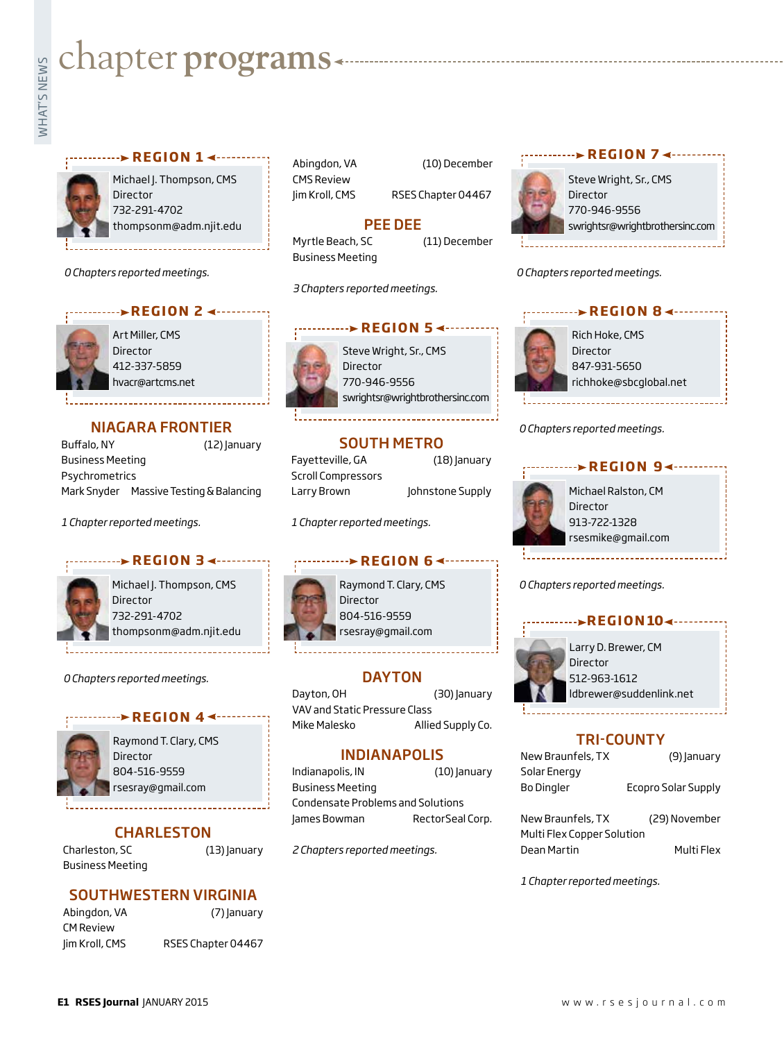# **Exampler programs**<br>Example:<br>Fig.

#### **REGION 1 → ·······**



Michael J. Thompson, CMS Director 732-291-4702 thompsonm@adm.njit.edu

*0 Chapters reported meetings.*

#### **With PEGION 2 <---------**



Art Miller, CMS Director 412-337-5859 hvacr@artcms.net

#### NIAGARA FRONTIER

Buffalo, NY (12) January Business Meeting Psychrometrics Mark Snyder Massive Testing & Balancing

*1 Chapter reported meetings.*

#### **REGION 3**



Michael J. Thompson, CMS Director 732-291-4702 thompsonm@adm.njit.edu

#### *0 Chapters reported meetings.*

#### **REGION 4 ◀ ------**



Raymond T. Clary, CMS Director 804-516-9559 rsesray@gmail.com

#### **CHARLESTON**

Charleston, SC (13) January Business Meeting

#### SOUTHWESTERN VIRGINIA

| Abingdon, VA     |  |
|------------------|--|
| <b>CM Review</b> |  |
| Jim Kroll, CMS   |  |

(7) January RSES Chapter 04467

Abingdon, VA (10) December CMS Review

Jim Kroll, CMS RSES Chapter 04467

#### PEE DEE

Myrtle Beach, SC (11) December Business Meeting

*3 Chapters reported meetings.*



Steve Wright, Sr., CMS **Director** 770-946-9556 swrightsr@wrightbrothersinc.com

#### SOUTH METRO

Fayetteville, GA (18) January Scroll Compressors Larry Brown Johnstone Supply

*1 Chapter reported meetings.*

#### **Provenion** REGION 6 <--------

Raymond T. Clary, CMS Director 804-516-9559 rsesray@gmail.com

#### **DAYTON**

Dayton, OH (30) January VAV and Static Pressure Class Mike Malesko Allied Supply Co.

#### INDIANAPOLIS

Indianapolis, IN (10) January Business Meeting Condensate Problems and Solutions James Bowman RectorSeal Corp.

*2 Chapters reported meetings.*



Steve Wright, Sr., CMS Director 770-946-9556 swrightsr@wrightbrothersinc.com

**REGION 7 → ·········** 

*0 Chapters reported meetings.*

Rich Hoke, CMS Director 847-931-5650 richhoke@sbcglobal.net **PEGION 8 <---------**

*0 Chapters reported meetings.*



#### *0 Chapters reported meetings.*



#### TRI-COUNTY

| New Braunfels, TX          | (9) January         |  |
|----------------------------|---------------------|--|
| Solar Energy               |                     |  |
| <b>Bo Dingler</b>          | Ecopro Solar Supply |  |
|                            |                     |  |
| New Braunfels, TX          | (29) November       |  |
| Multi Flex Copper Solution |                     |  |

Dean Martin Multi Flex

*1 Chapter reported meetings.*